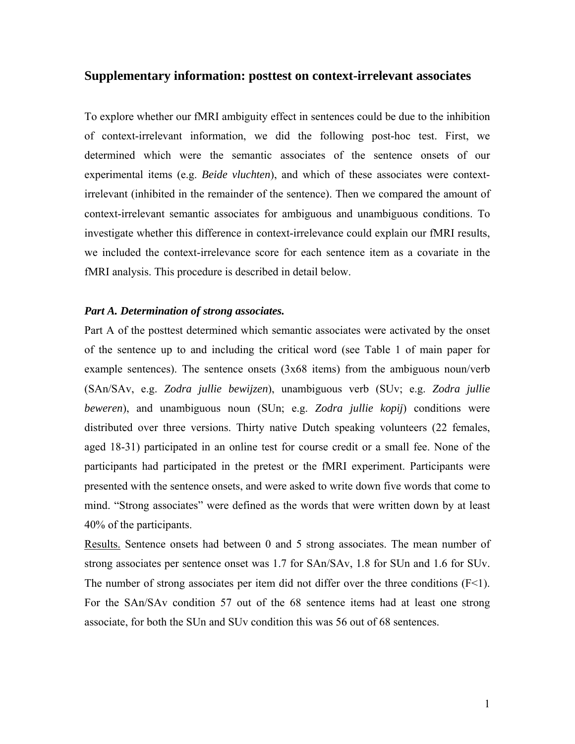# **Supplementary information: posttest on context-irrelevant associates**

To explore whether our fMRI ambiguity effect in sentences could be due to the inhibition of context-irrelevant information, we did the following post-hoc test. First, we determined which were the semantic associates of the sentence onsets of our experimental items (e.g. *Beide vluchten*), and which of these associates were contextirrelevant (inhibited in the remainder of the sentence). Then we compared the amount of context-irrelevant semantic associates for ambiguous and unambiguous conditions. To investigate whether this difference in context-irrelevance could explain our fMRI results, we included the context-irrelevance score for each sentence item as a covariate in the fMRI analysis. This procedure is described in detail below.

# *Part A. Determination of strong associates.*

Part A of the posttest determined which semantic associates were activated by the onset of the sentence up to and including the critical word (see Table 1 of main paper for example sentences). The sentence onsets (3x68 items) from the ambiguous noun/verb (SAn/SAv, e.g. *Zodra jullie bewijzen*), unambiguous verb (SUv; e.g. *Zodra jullie beweren*), and unambiguous noun (SUn; e.g. *Zodra jullie kopij*) conditions were distributed over three versions. Thirty native Dutch speaking volunteers (22 females, aged 18-31) participated in an online test for course credit or a small fee. None of the participants had participated in the pretest or the fMRI experiment. Participants were presented with the sentence onsets, and were asked to write down five words that come to mind. "Strong associates" were defined as the words that were written down by at least 40% of the participants.

Results. Sentence onsets had between 0 and 5 strong associates. The mean number of strong associates per sentence onset was 1.7 for SAn/SAv, 1.8 for SUn and 1.6 for SUv. The number of strong associates per item did not differ over the three conditions  $(F<1)$ . For the SAn/SAv condition 57 out of the 68 sentence items had at least one strong associate, for both the SUn and SUv condition this was 56 out of 68 sentences.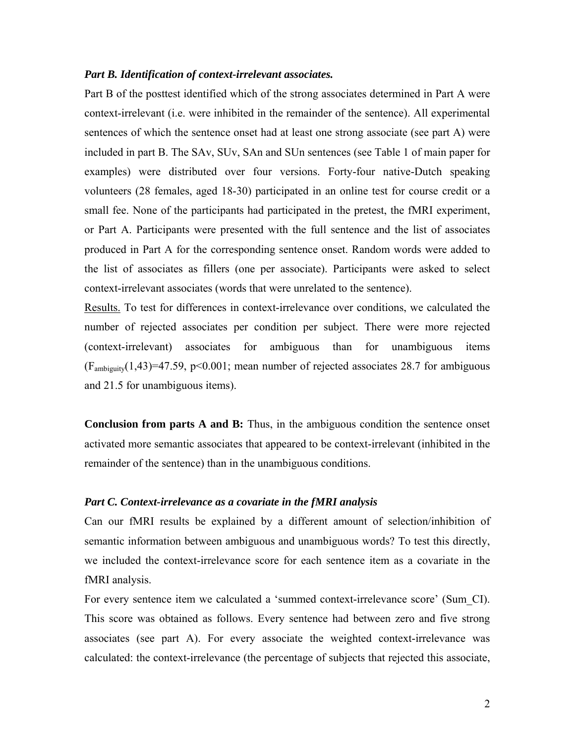### *Part B. Identification of context-irrelevant associates.*

Part B of the posttest identified which of the strong associates determined in Part A were context-irrelevant (i.e. were inhibited in the remainder of the sentence). All experimental sentences of which the sentence onset had at least one strong associate (see part A) were included in part B. The SAv, SUv, SAn and SUn sentences (see Table 1 of main paper for examples) were distributed over four versions. Forty-four native-Dutch speaking volunteers (28 females, aged 18-30) participated in an online test for course credit or a small fee. None of the participants had participated in the pretest, the fMRI experiment, or Part A. Participants were presented with the full sentence and the list of associates produced in Part A for the corresponding sentence onset. Random words were added to the list of associates as fillers (one per associate). Participants were asked to select context-irrelevant associates (words that were unrelated to the sentence).

Results. To test for differences in context-irrelevance over conditions, we calculated the number of rejected associates per condition per subject. There were more rejected (context-irrelevant) associates for ambiguous than for unambiguous items  $(F_{ambiguity}(1,43)=47.59, p<0.001;$  mean number of rejected associates 28.7 for ambiguous and 21.5 for unambiguous items).

**Conclusion from parts A and B:** Thus, in the ambiguous condition the sentence onset activated more semantic associates that appeared to be context-irrelevant (inhibited in the remainder of the sentence) than in the unambiguous conditions.

# *Part C. Context-irrelevance as a covariate in the fMRI analysis*

Can our fMRI results be explained by a different amount of selection/inhibition of semantic information between ambiguous and unambiguous words? To test this directly, we included the context-irrelevance score for each sentence item as a covariate in the fMRI analysis.

For every sentence item we calculated a 'summed context-irrelevance score' (Sum\_CI). This score was obtained as follows. Every sentence had between zero and five strong associates (see part A). For every associate the weighted context-irrelevance was calculated: the context-irrelevance (the percentage of subjects that rejected this associate,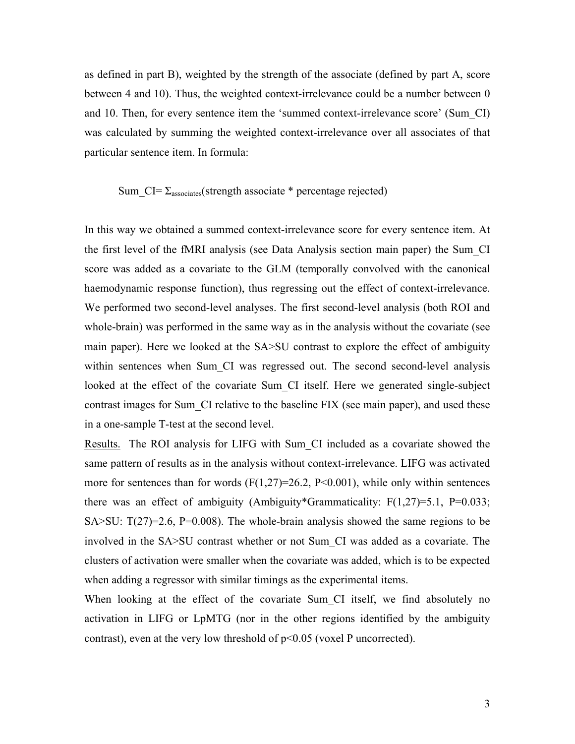as defined in part B), weighted by the strength of the associate (defined by part A, score between 4 and 10). Thus, the weighted context-irrelevance could be a number between 0 and 10. Then, for every sentence item the 'summed context-irrelevance score' (Sum\_CI) was calculated by summing the weighted context-irrelevance over all associates of that particular sentence item. In formula:

#### Sum  $CI = \Sigma_{\text{associates}}(\text{strength associate}^*)$  percentage rejected)

In this way we obtained a summed context-irrelevance score for every sentence item. At the first level of the fMRI analysis (see Data Analysis section main paper) the Sum\_CI score was added as a covariate to the GLM (temporally convolved with the canonical haemodynamic response function), thus regressing out the effect of context-irrelevance. We performed two second-level analyses. The first second-level analysis (both ROI and whole-brain) was performed in the same way as in the analysis without the covariate (see main paper). Here we looked at the SA>SU contrast to explore the effect of ambiguity within sentences when Sum CI was regressed out. The second second-level analysis looked at the effect of the covariate Sum CI itself. Here we generated single-subject contrast images for Sum\_CI relative to the baseline FIX (see main paper), and used these in a one-sample T-test at the second level.

Results. The ROI analysis for LIFG with Sum\_CI included as a covariate showed the same pattern of results as in the analysis without context-irrelevance. LIFG was activated more for sentences than for words  $(F(1,27)=26.2, P<0.001)$ , while only within sentences there was an effect of ambiguity (Ambiguity\*Grammaticality:  $F(1,27)=5.1$ ,  $P=0.033$ ; SA $>$ SU: T(27)=2.6, P=0.008). The whole-brain analysis showed the same regions to be involved in the SA>SU contrast whether or not Sum\_CI was added as a covariate. The clusters of activation were smaller when the covariate was added, which is to be expected when adding a regressor with similar timings as the experimental items.

When looking at the effect of the covariate Sum CI itself, we find absolutely no activation in LIFG or LpMTG (nor in the other regions identified by the ambiguity contrast), even at the very low threshold of p<0.05 (voxel P uncorrected).